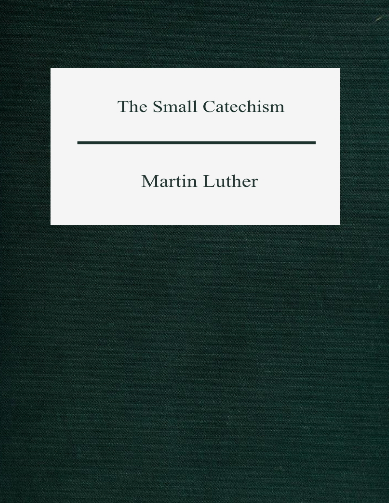# The Small Catechism

# Martin Luther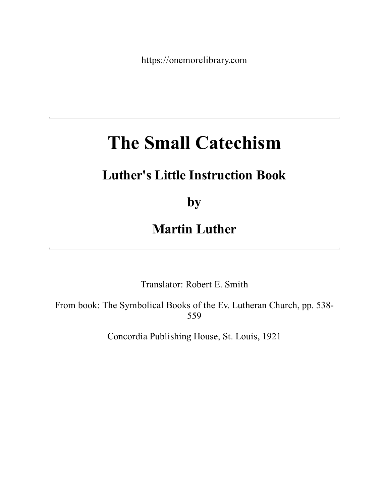https://onemorelibrary.com

# **The Small Catechism**

# **Luther's Little Instruction Book**

**by**

## **Martin Luther**

Translator: Robert E. Smith

From book: The Symbolical Books of the Ev. Lutheran Church, pp. 538- 559

Concordia Publishing House, St. Louis, 1921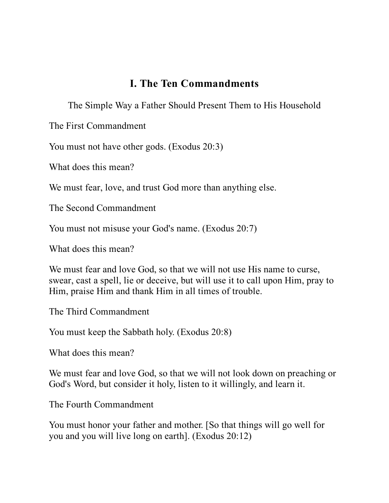#### **I. The Ten Commandments**

The Simple Way a Father Should Present Them to His Household

The First Commandment

You must not have other gods. (Exodus 20:3)

What does this mean?

We must fear, love, and trust God more than anything else.

The Second Commandment

You must not misuse your God's name. (Exodus 20:7)

What does this mean?

We must fear and love God, so that we will not use His name to curse, swear, cast a spell, lie or deceive, but will use it to call upon Him, pray to Him, praise Him and thank Him in all times of trouble.

The Third Commandment

You must keep the Sabbath holy. (Exodus 20:8)

What does this mean?

We must fear and love God, so that we will not look down on preaching or God's Word, but consider it holy, listen to it willingly, and learn it.

The Fourth Commandment

You must honor your father and mother. [So that things will go well for you and you will live long on earth]. (Exodus 20:12)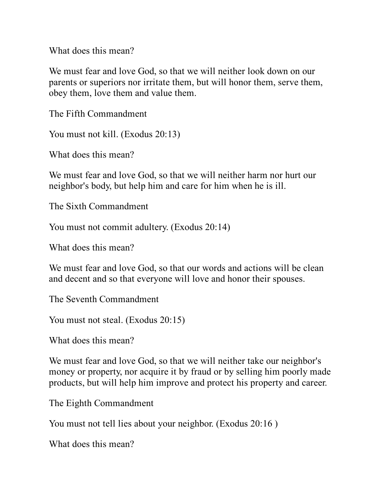What does this mean?

We must fear and love God, so that we will neither look down on our parents or superiors nor irritate them, but will honor them, serve them, obey them, love them and value them.

The Fifth Commandment

You must not kill. (Exodus 20:13)

What does this mean?

We must fear and love God, so that we will neither harm nor hurt our neighbor's body, but help him and care for him when he is ill.

The Sixth Commandment

You must not commit adultery. (Exodus 20:14)

What does this mean?

We must fear and love God, so that our words and actions will be clean and decent and so that everyone will love and honor their spouses.

The Seventh Commandment

You must not steal. (Exodus 20:15)

What does this mean?

We must fear and love God, so that we will neither take our neighbor's money or property, nor acquire it by fraud or by selling him poorly made products, but will help him improve and protect his property and career.

The Eighth Commandment

You must not tell lies about your neighbor. (Exodus 20:16)

What does this mean?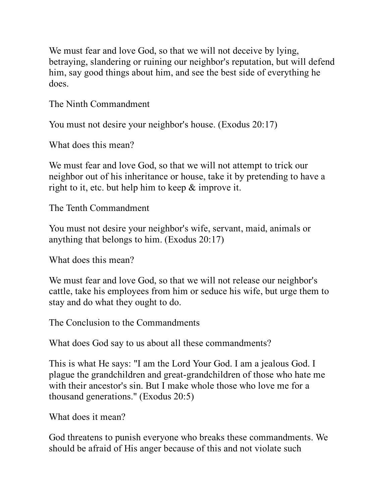We must fear and love God, so that we will not deceive by lying, betraying, slandering or ruining our neighbor's reputation, but will defend him, say good things about him, and see the best side of everything he does.

The Ninth Commandment

You must not desire your neighbor's house. (Exodus 20:17)

What does this mean?

We must fear and love God, so that we will not attempt to trick our neighbor out of his inheritance or house, take it by pretending to have a right to it, etc. but help him to keep & improve it.

The Tenth Commandment

You must not desire your neighbor's wife, servant, maid, animals or anything that belongs to him. (Exodus 20:17)

What does this mean?

We must fear and love God, so that we will not release our neighbor's cattle, take his employees from him or seduce his wife, but urge them to stay and do what they ought to do.

The Conclusion to the Commandments

What does God say to us about all these commandments?

This is what He says: "I am the Lord Your God. I am a jealous God. I plague the grandchildren and great-grandchildren of those who hate me with their ancestor's sin. But I make whole those who love me for a thousand generations." (Exodus 20:5)

What does it mean?

God threatens to punish everyone who breaks these commandments. We should be afraid of His anger because of this and not violate such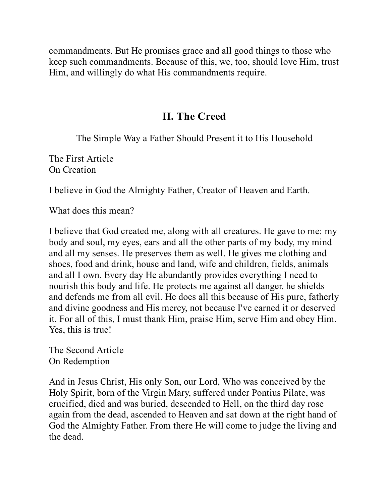commandments. But He promises grace and all good things to those who keep such commandments. Because of this, we, too, should love Him, trust Him, and willingly do what His commandments require.

### **II. The Creed**

The Simple Way a Father Should Present it to His Household

The First Article On Creation

I believe in God the Almighty Father, Creator of Heaven and Earth.

What does this mean?

I believe that God created me, along with all creatures. He gave to me: my body and soul, my eyes, ears and all the other parts of my body, my mind and all my senses. He preserves them as well. He gives me clothing and shoes, food and drink, house and land, wife and children, fields, animals and all I own. Every day He abundantly provides everything I need to nourish this body and life. He protects me against all danger. he shields and defends me from all evil. He does all this because of His pure, fatherly and divine goodness and His mercy, not because I've earned it or deserved it. For all of this, I must thank Him, praise Him, serve Him and obey Him. Yes, this is true!

The Second Article On Redemption

And in Jesus Christ, His only Son, our Lord, Who was conceived by the Holy Spirit, born of the Virgin Mary, suffered under Pontius Pilate, was crucified, died and was buried, descended to Hell, on the third day rose again from the dead, ascended to Heaven and sat down at the right hand of God the Almighty Father. From there He will come to judge the living and the dead.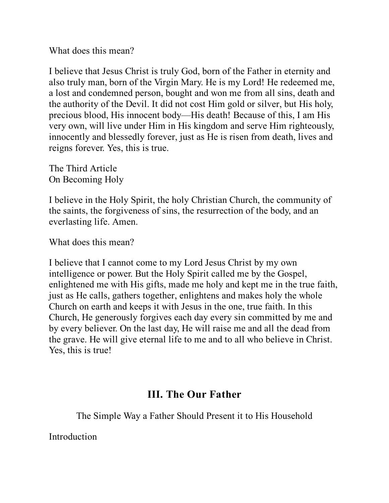What does this mean?

I believe that Jesus Christ is truly God, born of the Father in eternity and also truly man, born of the Virgin Mary. He is my Lord! He redeemed me, a lost and condemned person, bought and won me from all sins, death and the authority of the Devil. It did not cost Him gold or silver, but His holy, precious blood, His innocent body—His death! Because of this, I am His very own, will live under Him in His kingdom and serve Him righteously, innocently and blessedly forever, just as He is risen from death, lives and reigns forever. Yes, this is true.

The Third Article On Becoming Holy

I believe in the Holy Spirit, the holy Christian Church, the community of the saints, the forgiveness of sins, the resurrection of the body, and an everlasting life. Amen.

What does this mean?

I believe that I cannot come to my Lord Jesus Christ by my own intelligence or power. But the Holy Spirit called me by the Gospel, enlightened me with His gifts, made me holy and kept me in the true faith, just as He calls, gathers together, enlightens and makes holy the whole Church on earth and keeps it with Jesus in the one, true faith. In this Church, He generously forgives each day every sin committed by me and by every believer. On the last day, He will raise me and all the dead from the grave. He will give eternal life to me and to all who believe in Christ. Yes, this is true!

#### **III. The Our Father**

The Simple Way a Father Should Present it to His Household

Introduction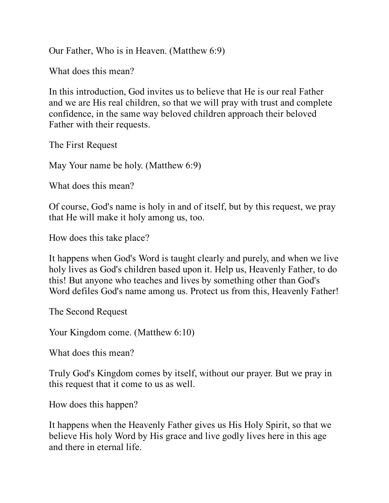Our Father, Who is in Heaven. (Matthew 6:9)

What does this mean?

In this introduction, God invites us to believe that He is our real Father and we are His real children, so that we will pray with trust and complete confidence, in the same way beloved children approach their beloved Father with their requests.

The First Request

May Your name be holy. (Matthew 6:9)

What does this mean?

Of course, God's name is holy in and of itself, but by this request, we pray that He will make it holy among us, too.

How does this take place?

It happens when God's Word is taught clearly and purely, and when we live holy lives as God's children based upon it. Help us, Heavenly Father, to do this! But anyone who teaches and lives by something other than God's Word defiles God's name among us. Protect us from this, Heavenly Father!

The Second Request

Your Kingdom come. (Matthew 6:10)

What does this mean?

Truly God's Kingdom comes by itself, without our prayer. But we pray in this request that it come to us as well.

How does this happen?

It happens when the Heavenly Father gives us His Holy Spirit, so that we believe His holy Word by His grace and live godly lives here in this age and there in eternal life.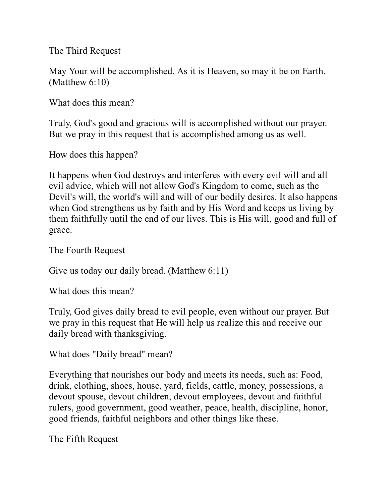The Third Request

May Your will be accomplished. As it is Heaven, so may it be on Earth. (Matthew 6:10)

What does this mean?

Truly, God's good and gracious will is accomplished without our prayer. But we pray in this request that is accomplished among us as well.

How does this happen?

It happens when God destroys and interferes with every evil will and all evil advice, which will not allow God's Kingdom to come, such as the Devil's will, the world's will and will of our bodily desires. It also happens when God strengthens us by faith and by His Word and keeps us living by them faithfully until the end of our lives. This is His will, good and full of grace.

The Fourth Request

Give us today our daily bread. (Matthew 6:11)

What does this mean?

Truly, God gives daily bread to evil people, even without our prayer. But we pray in this request that He will help us realize this and receive our daily bread with thanksgiving.

What does "Daily bread" mean?

Everything that nourishes our body and meets its needs, such as: Food, drink, clothing, shoes, house, yard, fields, cattle, money, possessions, a devout spouse, devout children, devout employees, devout and faithful rulers, good government, good weather, peace, health, discipline, honor, good friends, faithful neighbors and other things like these.

The Fifth Request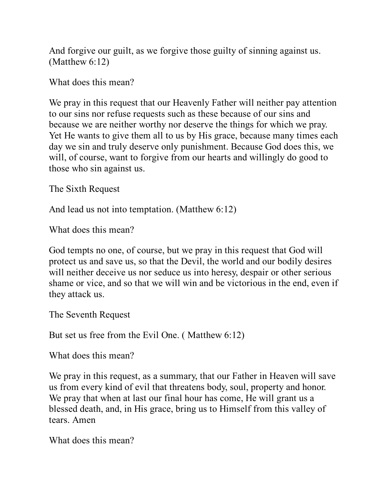And forgive our guilt, as we forgive those guilty of sinning against us. (Matthew 6:12)

What does this mean?

We pray in this request that our Heavenly Father will neither pay attention to our sins nor refuse requests such as these because of our sins and because we are neither worthy nor deserve the things for which we pray. Yet He wants to give them all to us by His grace, because many times each day we sin and truly deserve only punishment. Because God does this, we will, of course, want to forgive from our hearts and willingly do good to those who sin against us.

The Sixth Request

And lead us not into temptation. (Matthew 6:12)

What does this mean?

God tempts no one, of course, but we pray in this request that God will protect us and save us, so that the Devil, the world and our bodily desires will neither deceive us nor seduce us into heresy, despair or other serious shame or vice, and so that we will win and be victorious in the end, even if they attack us.

The Seventh Request

But set us free from the Evil One. ( Matthew 6:12)

What does this mean?

We pray in this request, as a summary, that our Father in Heaven will save us from every kind of evil that threatens body, soul, property and honor. We pray that when at last our final hour has come, He will grant us a blessed death, and, in His grace, bring us to Himself from this valley of tears. Amen

What does this mean?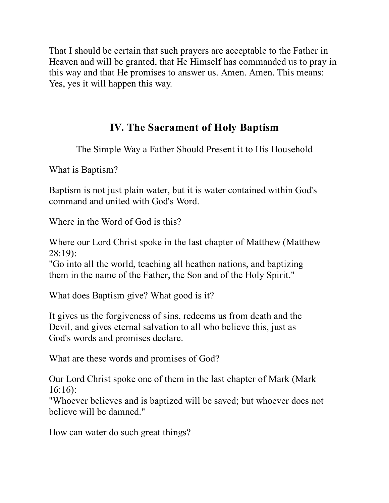That I should be certain that such prayers are acceptable to the Father in Heaven and will be granted, that He Himself has commanded us to pray in this way and that He promises to answer us. Amen. Amen. This means: Yes, yes it will happen this way.

### **IV. The Sacrament of Holy Baptism**

The Simple Way a Father Should Present it to His Household

What is Baptism?

Baptism is not just plain water, but it is water contained within God's command and united with God's Word.

Where in the Word of God is this?

Where our Lord Christ spoke in the last chapter of Matthew (Matthew 28:19):

"Go into all the world, teaching all heathen nations, and baptizing them in the name of the Father, the Son and of the Holy Spirit."

What does Baptism give? What good is it?

It gives us the forgiveness of sins, redeems us from death and the Devil, and gives eternal salvation to all who believe this, just as God's words and promises declare.

What are these words and promises of God?

Our Lord Christ spoke one of them in the last chapter of Mark (Mark 16:16):

"Whoever believes and is baptized will be saved; but whoever does not believe will be damned."

How can water do such great things?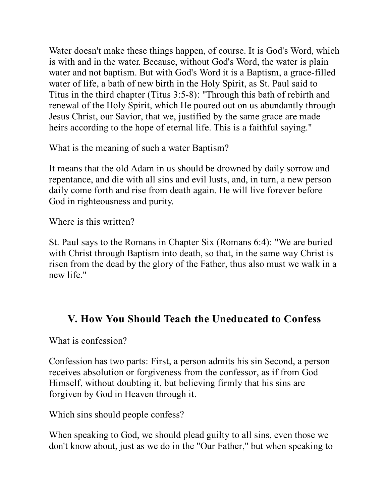Water doesn't make these things happen, of course. It is God's Word, which is with and in the water. Because, without God's Word, the water is plain water and not baptism. But with God's Word it is a Baptism, a grace-filled water of life, a bath of new birth in the Holy Spirit, as St. Paul said to Titus in the third chapter (Titus 3:5-8): "Through this bath of rebirth and renewal of the Holy Spirit, which He poured out on us abundantly through Jesus Christ, our Savior, that we, justified by the same grace are made heirs according to the hope of eternal life. This is a faithful saying."

What is the meaning of such a water Baptism?

It means that the old Adam in us should be drowned by daily sorrow and repentance, and die with all sins and evil lusts, and, in turn, a new person daily come forth and rise from death again. He will live forever before God in righteousness and purity.

Where is this written?

St. Paul says to the Romans in Chapter Six (Romans 6:4): "We are buried with Christ through Baptism into death, so that, in the same way Christ is risen from the dead by the glory of the Father, thus also must we walk in a new life."

## **V. How You Should Teach the Uneducated to Confess**

What is confession?

Confession has two parts: First, a person admits his sin Second, a person receives absolution or forgiveness from the confessor, as if from God Himself, without doubting it, but believing firmly that his sins are forgiven by God in Heaven through it.

Which sins should people confess?

When speaking to God, we should plead guilty to all sins, even those we don't know about, just as we do in the "Our Father," but when speaking to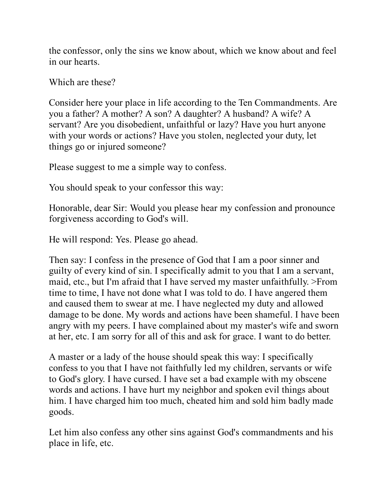the confessor, only the sins we know about, which we know about and feel in our hearts.

Which are these?

Consider here your place in life according to the Ten Commandments. Are you a father? A mother? A son? A daughter? A husband? A wife? A servant? Are you disobedient, unfaithful or lazy? Have you hurt anyone with your words or actions? Have you stolen, neglected your duty, let things go or injured someone?

Please suggest to me a simple way to confess.

You should speak to your confessor this way:

Honorable, dear Sir: Would you please hear my confession and pronounce forgiveness according to God's will.

He will respond: Yes. Please go ahead.

Then say: I confess in the presence of God that I am a poor sinner and guilty of every kind of sin. I specifically admit to you that I am a servant, maid, etc., but I'm afraid that I have served my master unfaithfully. >From time to time, I have not done what I was told to do. I have angered them and caused them to swear at me. I have neglected my duty and allowed damage to be done. My words and actions have been shameful. I have been angry with my peers. I have complained about my master's wife and sworn at her, etc. I am sorry for all of this and ask for grace. I want to do better.

A master or a lady of the house should speak this way: I specifically confess to you that I have not faithfully led my children, servants or wife to God's glory. I have cursed. I have set a bad example with my obscene words and actions. I have hurt my neighbor and spoken evil things about him. I have charged him too much, cheated him and sold him badly made goods.

Let him also confess any other sins against God's commandments and his place in life, etc.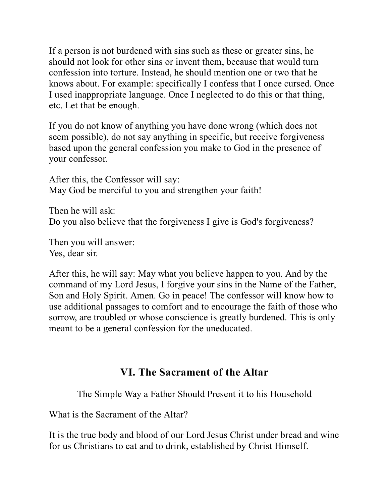If a person is not burdened with sins such as these or greater sins, he should not look for other sins or invent them, because that would turn confession into torture. Instead, he should mention one or two that he knows about. For example: specifically I confess that I once cursed. Once I used inappropriate language. Once I neglected to do this or that thing, etc. Let that be enough.

If you do not know of anything you have done wrong (which does not seem possible), do not say anything in specific, but receive forgiveness based upon the general confession you make to God in the presence of your confessor.

After this, the Confessor will say: May God be merciful to you and strengthen your faith!

Then he will ask: Do you also believe that the forgiveness I give is God's forgiveness?

Then you will answer: Yes, dear sir.

After this, he will say: May what you believe happen to you. And by the command of my Lord Jesus, I forgive your sins in the Name of the Father, Son and Holy Spirit. Amen. Go in peace! The confessor will know how to use additional passages to comfort and to encourage the faith of those who sorrow, are troubled or whose conscience is greatly burdened. This is only meant to be a general confession for the uneducated.

### **VI. The Sacrament of the Altar**

The Simple Way a Father Should Present it to his Household

What is the Sacrament of the Altar?

It is the true body and blood of our Lord Jesus Christ under bread and wine for us Christians to eat and to drink, established by Christ Himself.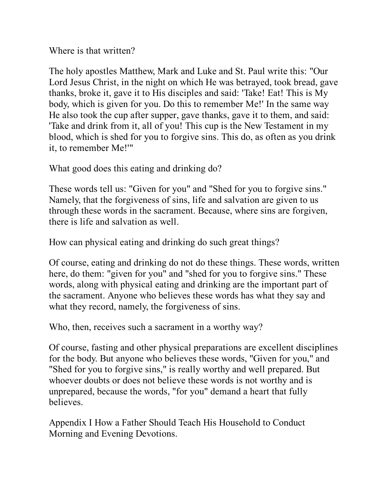Where is that written?

The holy apostles Matthew, Mark and Luke and St. Paul write this: "Our Lord Jesus Christ, in the night on which He was betrayed, took bread, gave thanks, broke it, gave it to His disciples and said: 'Take! Eat! This is My body, which is given for you. Do this to remember Me!' In the same way He also took the cup after supper, gave thanks, gave it to them, and said: 'Take and drink from it, all of you! This cup is the New Testament in my blood, which is shed for you to forgive sins. This do, as often as you drink it, to remember Me!'"

What good does this eating and drinking do?

These words tell us: "Given for you" and "Shed for you to forgive sins." Namely, that the forgiveness of sins, life and salvation are given to us through these words in the sacrament. Because, where sins are forgiven, there is life and salvation as well.

How can physical eating and drinking do such great things?

Of course, eating and drinking do not do these things. These words, written here, do them: "given for you" and "shed for you to forgive sins." These words, along with physical eating and drinking are the important part of the sacrament. Anyone who believes these words has what they say and what they record, namely, the forgiveness of sins.

Who, then, receives such a sacrament in a worthy way?

Of course, fasting and other physical preparations are excellent disciplines for the body. But anyone who believes these words, "Given for you," and "Shed for you to forgive sins," is really worthy and well prepared. But whoever doubts or does not believe these words is not worthy and is unprepared, because the words, "for you" demand a heart that fully believes.

Appendix I How a Father Should Teach His Household to Conduct Morning and Evening Devotions.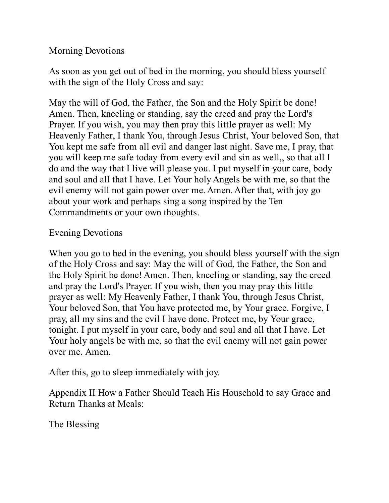#### Morning Devotions

As soon as you get out of bed in the morning, you should bless yourself with the sign of the Holy Cross and say:

May the will of God, the Father, the Son and the Holy Spirit be done! Amen. Then, kneeling or standing, say the creed and pray the Lord's Prayer. If you wish, you may then pray this little prayer as well: My Heavenly Father, I thank You, through Jesus Christ, Your beloved Son, that You kept me safe from all evil and danger last night. Save me, I pray, that you will keep me safe today from every evil and sin as well,, so that all I do and the way that I live will please you. I put myself in your care, body and soul and all that I have. Let Your holy Angels be with me, so that the evil enemy will not gain power over me. Amen. After that, with joy go about your work and perhaps sing a song inspired by the Ten Commandments or your own thoughts.

#### Evening Devotions

When you go to bed in the evening, you should bless yourself with the sign of the Holy Cross and say: May the will of God, the Father, the Son and the Holy Spirit be done! Amen. Then, kneeling or standing, say the creed and pray the Lord's Prayer. If you wish, then you may pray this little prayer as well: My Heavenly Father, I thank You, through Jesus Christ, Your beloved Son, that You have protected me, by Your grace. Forgive, I pray, all my sins and the evil I have done. Protect me, by Your grace, tonight. I put myself in your care, body and soul and all that I have. Let Your holy angels be with me, so that the evil enemy will not gain power over me. Amen.

After this, go to sleep immediately with joy.

Appendix II How a Father Should Teach His Household to say Grace and Return Thanks at Meals:

The Blessing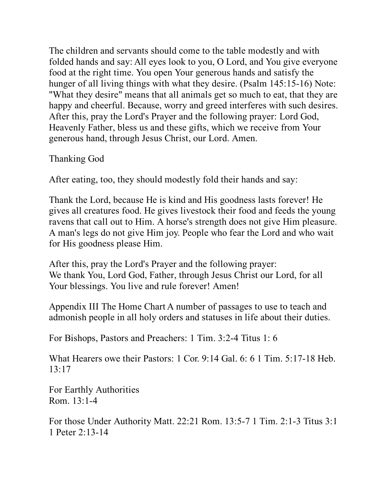The children and servants should come to the table modestly and with folded hands and say: All eyes look to you, O Lord, and You give everyone food at the right time. You open Your generous hands and satisfy the hunger of all living things with what they desire. (Psalm 145:15-16) Note: "What they desire" means that all animals get so much to eat, that they are happy and cheerful. Because, worry and greed interferes with such desires. After this, pray the Lord's Prayer and the following prayer: Lord God, Heavenly Father, bless us and these gifts, which we receive from Your generous hand, through Jesus Christ, our Lord. Amen.

Thanking God

After eating, too, they should modestly fold their hands and say:

Thank the Lord, because He is kind and His goodness lasts forever! He gives all creatures food. He gives livestock their food and feeds the young ravens that call out to Him. A horse's strength does not give Him pleasure. A man's legs do not give Him joy. People who fear the Lord and who wait for His goodness please Him.

After this, pray the Lord's Prayer and the following prayer: We thank You, Lord God, Father, through Jesus Christ our Lord, for all Your blessings. You live and rule forever! Amen!

Appendix III The Home Chart A number of passages to use to teach and admonish people in all holy orders and statuses in life about their duties.

For Bishops, Pastors and Preachers: 1 Tim. 3:2-4 Titus 1: 6

What Hearers owe their Pastors: 1 Cor. 9:14 Gal. 6: 6 1 Tim. 5:17-18 Heb.  $13:17$ 

For Earthly Authorities Rom. 13:1-4

For those Under Authority Matt. 22:21 Rom. 13:5-7 1 Tim. 2:1-3 Titus 3:1 1 Peter 2:13-14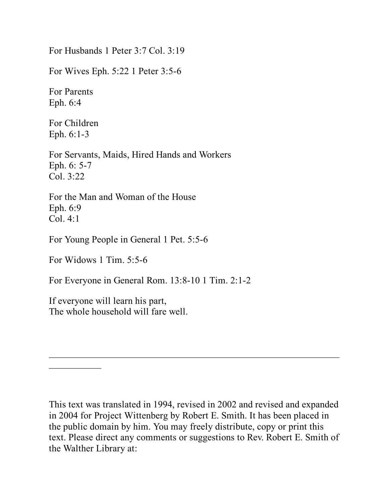For Husbands 1 Peter 3:7 Col. 3:19

For Wives Eph. 5:22 1 Peter 3:5-6

For Parents Eph. 6:4

For Children Eph. 6:1-3

For Servants, Maids, Hired Hands and Workers Eph. 6: 5-7 Col. 3:22

For the Man and Woman of the House Eph. 6:9 Col. 4:1

For Young People in General 1 Pet. 5:5-6

For Widows 1 Tim. 5:5-6

 $\frac{1}{2}$ 

For Everyone in General Rom. 13:8-10 1 Tim. 2:1-2

If everyone will learn his part, The whole household will fare well.

This text was translated in 1994, revised in 2002 and revised and expanded in 2004 for Project Wittenberg by Robert E. Smith. It has been placed in the public domain by him. You may freely distribute, copy or print this text. Please direct any comments or suggestions to Rev. Robert E. Smith of the Walther Library at:

 $\mathcal{L}_\text{max}$  and  $\mathcal{L}_\text{max}$  and  $\mathcal{L}_\text{max}$  and  $\mathcal{L}_\text{max}$  and  $\mathcal{L}_\text{max}$  and  $\mathcal{L}_\text{max}$